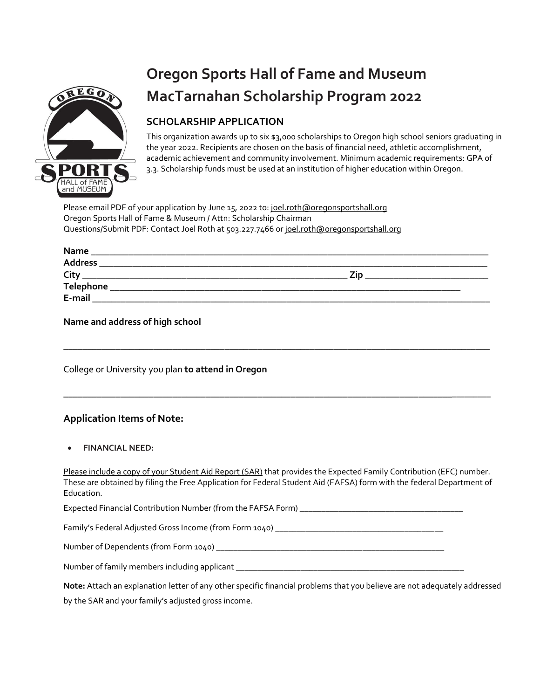

# **Oregon Sports Hall of Fame and Museum MacTarnahan Scholarship Program 2022**

# **SCHOLARSHIP APPLICATION**

This organization awards up to six \$3,000 scholarships to Oregon high school seniors graduating in the year 2022. Recipients are chosen on the basis of financial need, athletic accomplishment, academic achievement and community involvement. Minimum academic requirements: GPA of 3.3. Scholarship funds must be used at an institution of higher education within Oregon.

Please email PDF of your application by June 15, 2022 to: [joel.roth@oregonsportshall.org](mailto:joel.roth@oregonsportshall.org) Oregon Sports Hall of Fame & Museum / Attn: Scholarship Chairman Questions/Submit PDF: Contact Joel Roth at 503.227.7466 or [joel.roth@oregonsportshall.org](mailto:joel.roth@oregonsportshall.org)

| Name           |  |
|----------------|--|
| <b>Address</b> |  |
| City           |  |
| Telephone      |  |
| E-mail         |  |

\_\_\_\_\_\_\_\_\_\_\_\_\_\_\_\_\_\_\_\_\_\_\_\_\_\_\_\_\_\_\_\_\_\_\_\_\_\_\_\_\_\_\_\_\_\_\_\_\_\_\_\_\_\_\_\_\_\_\_\_\_\_\_\_\_\_\_\_\_\_\_\_\_\_\_\_\_\_\_\_\_\_\_\_\_\_\_\_\_\_

\_\_\_\_\_\_\_\_\_\_\_\_\_\_\_\_\_\_\_\_\_\_\_\_\_\_\_\_\_\_\_\_\_\_\_\_\_\_\_\_\_\_\_\_\_\_\_\_\_\_\_\_\_\_\_\_\_\_\_\_\_\_\_\_\_\_\_\_\_\_\_\_\_\_\_\_\_\_\_\_\_\_\_\_\_\_\_\_\_\_\_

**Name and address of high school** 

College or University you plan **to attend in Oregon**

## **Application Items of Note:**

| $\bullet$ | <b>FINANCIAL NEED:</b> |
|-----------|------------------------|
|           |                        |

Please include a copy of your Student Aid Report (SAR) that provides the Expected Family Contribution (EFC) number. These are obtained by filing the Free Application for Federal Student Aid (FAFSA) form with the federal Department of Education.

Expected Financial Contribution Number (from the FAFSA Form) \_\_\_\_\_\_\_\_\_\_\_\_\_\_\_\_\_\_\_\_\_\_\_\_\_\_\_\_\_\_\_\_\_\_\_\_\_\_

Family's Federal Adjusted Gross Income (from Form 1040) \_\_\_\_\_\_\_\_\_\_\_\_\_\_\_\_\_\_\_\_\_\_\_\_

Number of Dependents (from Form 1040) \_\_\_\_\_\_\_\_\_\_\_\_\_\_\_\_\_\_\_\_\_\_\_\_\_\_\_\_\_\_\_\_\_\_\_\_\_\_\_\_\_\_\_\_\_\_\_\_\_\_\_\_\_

Number of family members including applicant \_\_\_\_\_\_\_\_\_\_\_\_\_\_\_\_\_\_\_\_\_\_\_\_\_\_\_\_\_\_\_\_\_\_\_

| Note: Attach an explanation letter of any other specific financial problems that you believe are not adequately addressed |
|---------------------------------------------------------------------------------------------------------------------------|
| by the SAR and your family's adjusted gross income.                                                                       |